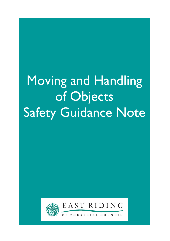# Moving and Handling of Objects Safety Guidance Note



Ξ

EAST RIDING

YORKSHIRE COUNCIL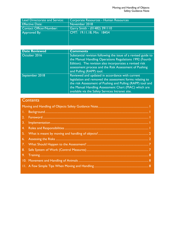| Corporate Resources - Human Resources |
|---------------------------------------|
| November 2018                         |
| Garry Smith - (01482) 391110          |
| CMT: 19.11.18, Min: 18454             |
|                                       |
|                                       |
|                                       |

| <b>Date Reviewed</b> | <b>Comments</b>                                                                                                                                                                                                                                                                       |
|----------------------|---------------------------------------------------------------------------------------------------------------------------------------------------------------------------------------------------------------------------------------------------------------------------------------|
| October 2016         | Substantial revision following the issue of a revised guide to<br>the Manual Handling Operations Regulations 1992 (Fourth<br>Edition). The revision also incorporates a revised risk<br>assessment process and the Risk Assessment of Pushing<br>and Pulling (RAPP) tool.             |
| September 2018       | Reviewed and updated in accordance with current<br>legislation and removed the assessment forms relating to<br>the risk Assessment of Pushing and Pulling (RAPP) tool and<br>the Manual Handling Assessment Chart (MAC) which are<br>available via the Safety Services Intranet site. |

# **Contents**

| 3. |  |  |  |
|----|--|--|--|
| 4. |  |  |  |
|    |  |  |  |
|    |  |  |  |
|    |  |  |  |
|    |  |  |  |
|    |  |  |  |
|    |  |  |  |
|    |  |  |  |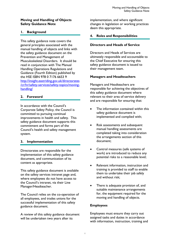#### Moving and Handling of Objects Safety Guidance Note

# 1. Background

This safety guidance note covers the general principles associated with the manual handling of objects and links with the safety guidance document on the Prevention and Management of Musculoskeletal Disorders. It should be read in conjunction with The Manual Handling Operations Regulations and Guidance (Fourth Edition) published by the HSE ISBN 978 0 7176 6653 9 http://insight.eastriding.gov.uk/directorates /cr/hr/safety-services/safety-topics/movinghandling/

# 2. Foreword

In accordance with the Council's Corporate Safety Policy, the Council is committed to pursuing continual improvements in health and safety. This safety guidance document supports this commitment and forms part of the Council's health and safety management system.

# 3. Implementation

Directorates are responsible for the implementation of this safety guidance document, and communication of its content as appropriate.

This safety guidance document is available on the safety services intranet page and, where employees do not have access to the Council's intranet, via their Line Manager/Headteacher.

The Council relies on the co-operation of all employees, and trades unions for the successful implementation of this safety guidance document.

A review of this safety guidance document will be undertaken two years after its

implementation, and where significant changes in legislation or working practices deem this appropriate.

# 4. Roles and Responsibilities

### Directors and Heads of Service

Directors and Heads of Services are ultimately responsible and accountable to the Chief Executive for ensuring this safety guidance document is issued to their management team.

#### Managers and Headteachers

Managers and Headteachers are responsible for achieving the objectives of this safety guidance document where relevant to their area of service delivery and are responsible for ensuring that:

- The information contained within this safety guidance document is implemented and complied with;
- Risk assessments and subsequent manual handling assessments are completed taking into consideration the arrangements section of this document;
- Control measures (safe systems of work) are introduced to reduce any potential risks to a reasonable level;
- Relevant information, instruction and training is provided to staff to enable them to undertake their job safely and without risk;
- There is adequate provision of, and suitable maintenance arrangements for, the equipment required for the moving and handling of objects.

#### Employees

Employees must ensure they carry out assigned tasks and duties in accordance with information, instruction, training and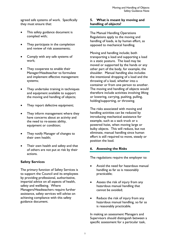agreed safe systems of work. Specifically they must ensure that:

- This safety guidance document is complied with;
- They participate in the completion and review of risk assessments;
- Comply with any safe systems of work;
- They cooperate to enable their Manager/Headteacher to formulate and implement effective management systems;
- They undertake training in techniques and equipment available to support the moving and handling of objects;
- They report defective equipment;
- They inform management where they have concerns about an activity and the need to re-assess ability, equipment or condition;
- They notify Manager of changes to their own health;
- Their own health and safety and that of others are not put at risk by their actions.

#### Safety Services

The primary function of Safety Services is to support the Council and its employees by providing professional, authoritative, impartial advice on all aspects of health, safety and wellbeing. Where Managers/Headteachers require further assistance, safety services will advise on achieving compliance with this safety guidance document.

### 5. What is meant by moving and handling of objects?

The Manual Handling Operations Regulations apply to the moving and handling of loads, ie by human effort, as opposed to mechanical handling.

Moving and handling include; both transporting a load and supporting a load in a static posture. The load may be moved or supported by the hands or any other part of the body, for example, the shoulder. Manual handling also includes the intentional dropping of a load and the throwing of a load, whether into a container or from one person to another. The moving and handling of objects would therefore include activities involving lifting or lowering, carrying, pushing, pulling, holding/supporting, or throwing.

The risks associated with moving and handling activities can be reduced by introducing mechanical assistance for example, such as a sack truck or a powered hoist, when moving large or bulky objects. This will reduce, but not eliminate, manual handling since human effort is still required to move, steady or position the load.

#### 6. Assessing the Risks

The regulations require the employer to:

- Avoid the need for hazardous manual handling as far as is reasonably practicable;
- Assess the risk of injury from any hazardous manual handling that cannot be avoided;
- Reduce the risk of injury from any hazardous manual handling, so far as is reasonably practicable.

In making an assessment Managers and Supervisors should distinguish between a specific assessment for a particular task,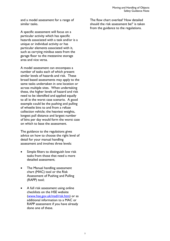and a model assessment for a range of similar tasks.

A specific assessment will focus on a particular activity which has specific hazards associated with a task and/or is a unique or individual activity or has particular elements associated with it, such as carrying minibus seats from the garage floor to the mezzanine storage area and vice versa.

A model assessment can encompass a number of tasks each of which present similar levels of hazards and risk. These broad based assessments may apply to the same tasks undertaken in one location or across multiple sites. When undertaking these, the higher levels of hazard and risk need to be identified and applied equally to all ie the worst case scenario. A good example could be the pushing and pulling of wheelie bins to and from a refuse collection vehicle; the heaviest weights, longest pull distance and largest number of bins per day would form the worst case on which to base the assessment.

The guidance to the regulations gives advice on how to choose the right level of detail for your manual handling assessment and involves three levels:

- Simple filters to distinguish low risk tasks from those that need a more detailed assessment;
- The Manual handling assessment chart (MAC) tool or the Risk Assessment of Pushing and Pulling (RAPP) tool;
- A full risk assessment using online checklists on the HSE website (www.hse.gov.uk/msd/risk.htm) or as additional information to a MAC or RAPP assessment if you have already done one of these.

The flow chart overleaf 'How detailed should the risk assessment be?' is taken from the guidance to the regulations.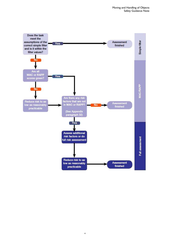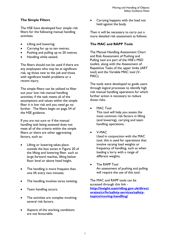# The Simple Filters

The HSE have developed four simple risk filters for the following manual handling activities:

- Lifting and lowering;
- Carrying for up to ten metres;
- Pushing and pulling up to 20 metres;
- Handling while seated.

The filters should not be used if there are any employees who may be at significant risk, eg those new to the job and those with significant health problems or a recent injury.

The simple filters can be utilised to filter out your low risk manual handling activities; if the task meets all of the assumptions and values within the simple filter it is low risk and you need go no further. The filters begin on page 54 of the HSE guidance.

If you are not sure or if the manual handling task being assessed does not meet all of the criteria within the simple filters or there are other aggravating factors, such as:

- Lifting or lowering takes place outside the box zones in Figure 20 of the lifting and lowering filter, such as large forward reaches, lifting below floor level or above head height.
- The handling is more frequent than one lift every two minutes.
- The handling involves torso twisting.
- Team handling occurs.
- The activities are complex involving several risk factors.
- Aspects of the working conditions are not favourable.

 Carrying happens with the load not held against the body.

Then it will be necessary to carry out a more detailed risk assessment as follows.

#### The MAC and RAPP Tools

The Manual Handling Assessment Chart and Risk Assessment of Pushing and Pulling tool are part of the HSE's MSD toolkit, along with the Assessment of Repetitive Tasks of the upper limbs (ART tool) and the Variable MAC tool (V-MAC).

The tools were developed to guide users through logical processes to identify high risk manual handling operations for which further action is necessary to reduce those risks.

MAC Tool

This tool will help you assess the most common risk factors in lifting (and lowering), carrying and team handling operations.

V-MAC

Used in conjunction with the MAC tool, this is used for operations that involve varying load weights or frequency of handling, such as when loading a lorry with a range of different weights.

 The RAPP Tool An assessment of pushing and pulling will require the use of this tool.

The MAC and RAPP tools can be accessed through this link http://insight.eastriding.gov.uk/direct orates/cr/hr/safety-services/safetytopics/moving-handling/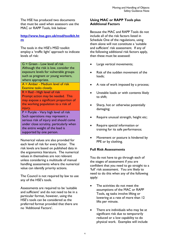The HSE has produced two documents that must be used when assessors use the MAC or RAPP Tools, link below:

### http://www.hse.gov.uk/msd/toolkit.ht m

The tools in the HSE's MSD toolkit employ a 'traffic light' approach to indicate levels of risk:

G = Green - Low level of risk Although the risk is low, consider the exposure levels for vulnerable groups such as pregnant or young workers, where appropriate.

A = Amber - Medium level of risk Examine tasks closely.

R = Red - High level of risk

Prompt action may be needed. This may expose a significant proportion of the working population to a risk of injury.

P = Purple - Very high level of risk Such operations may represent a serious risk of injury and should come under close scrutiny, particularly when the entire weight of the load is supported by one person.

Numerical values are also provided for each level of risk for every factor. The risk levels are based on published data in the ergonomics literature. The numerical values in themselves are not relevant unless considering a multitude of manual handling assessments where the numerical value can identify priority actions.

The Council is not required by law to use any of the HSE's tools.

Assessments are required to be 'suitable and sufficient' and do not need to be in a particular format, however, using the HSE's tools can be considered as the preferred format provided that there are no 'Additional Factors'.

# Using MAC or RAPP Tools plus Additional Factors

Because the MAC and RAPP Tools do not include all of the risk factors listed in Schedule One of the regulations, using them alone will not constitute a 'suitable and sufficient' risk assessment. If any of the following additional risk factors apply, then these must be assessed:

- Large vertical movements;
- Risk of the sudden movement of the loads;
- A rate of work imposed by a process;
- Unstable loads or with contents likely to shift;
- Sharp, hot or otherwise potentially damaging;
- Require unusual strength, height etc;
- Require special information or training for its safe performance;
- Movement or posture is hindered by PPE or by clothing.

# Full Risk Assessments

You do not have to go through each of the stages of assessment if you are confident that you need to go straight to a 'full' risk assessment. You are likely to need to do this when any of the following apply:

- The activities do not meet the assumptions of the MAC or RAPP Tools, eg tasks involve lifting or lowering at a rate of more than 12 lifts per minute.
- There are individuals who may be at significant risk due to temporarily reduced or a low capability to do physical work. Examples will include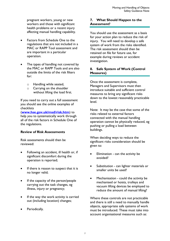pregnant workers, young or new workers and those with significant health problems or a recent injury affecting manual handling capability.

- Factors from Schedule One to the regulations that are not included in a MAC or RAPP Tool assessment and are important in a particular operation.
- The types of handling not covered by the MAC or RAPP Tools and are also outside the limits of the risk filters for:
	- o Handling while seated,
	- o Carrying on the shoulder without lifting the load first.

If you need to carry out a full assessment you should see the online examples of checklists

(www.hse.gov.uk/msd/risk.htm) to help you to systematically work through all of the risk factors in Schedule One of the regulations.

#### Review of Risk Assessments

Risk assessments should then be reviewed:

- Following an accident, ill health or, if significant discomfort during the operation is reported;
- If there is reason to suspect that it is no longer valid;
- If the capacity of the person/people carrying out the task changes, eg illness, injury or pregnancy;
- If the way the work activity is carried out (including location) changes;
- Periodically.

# 7. What Should Happen to the Assessment?

You should use the assessment as a basis for your action plan to reduce the risk of injury. You will need to develop a safe system of work from the risks identified. The risk assessment should then be retained on file for future use, for example during reviews or accident investigation.

# 8. Safe System of Work (Control Measures)

Once the assessment is complete, Managers and Supervisors must then introduce suitable and sufficient control measures to bring any significant risks down to the lowest reasonably practicable level.

Note: It may be the case that some of the risks related to external factors connected with the manual handling operation cannot be physically reduced, eg pushing or pulling a load between buildings.

When deciding ways to reduce the significant risks consideration should be given to:

- Elimination can the activity be avoided?
- Substitution can lighter materials or smaller units be used?
- Mechanisation could the activity be mechanised or hoists, trolleys and vacuum lifting devices be employed to reduce the amount of manual lifting?

Where these controls are not practicable and there is still a need to manually handle objects, appropriate safe systems of work must be introduced. These must take into account organisational measures such as: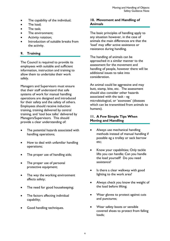- The capability of the individual;
- The load:
- The task;
- The environment;
- Activity rotation;
- Introduction of suitable breaks from the activity.

# 9. Training

The Council is required to provide its employees with suitable and sufficient information, instruction and training to allow them to undertake their work safely.

Managers and Supervisors must ensure that their staff understand that safe systems of work for manual handling operations are designed and introduced for their safety and the safety of others. Employees should receive induction training, training delivered by central training, and 'tool box talks' delivered by Managers/Supervisors. This should provide a clear understanding of:

- The potential hazards associated with handling operations;
- How to deal with unfamiliar handling operations;
- The proper use of handling aids;
- The proper use of personal protective equipment;
- The way the working environment affects safety;
- The need for good housekeeping;
- The factors affecting individual capability;
- Good handling techniques.

#### 10. Movement and Handling of Animals

The basic principles of handling apply to any situation however, in the case of animals the main differences are that the 'load' may offer active assistance or resistance during handling.

The handling of animals can be approached in a similar manner to the assessment for the movement and handling of people, however there will be additional issues to take into consideration.

An animal could be aggressive and may butt, stamp, bite, etc. The assessment should also consider other hazards associated with the task - eg microbiological, or 'zoonoses' (diseases which can be transmitted from animals to humans).

#### 11. A Few Simple Tips When Moving and Handling

- Always use mechanical handling methods instead of manual handling if possible eg a trolley or sack barrow etc;
- Know your capabilities; Only tackle lifts you can handle; Can you handle the load yourself? Do you need assistance?
- Is there a clear walkway with good lighting to the work area?
- Always check you know the weight of the load before lifting;
- Wear gloves to protect against cuts and punctures;
- Wear safety boots or sensible covered shoes to protect from falling loads;